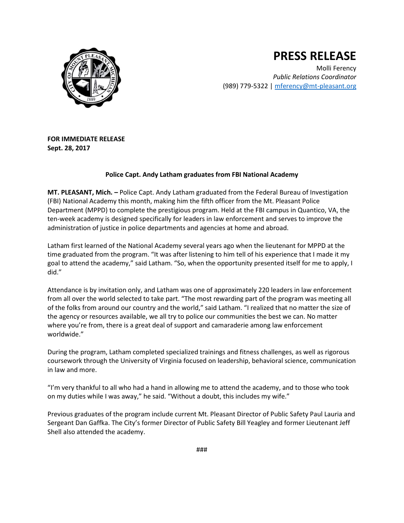

## **PRESS RELEASE**

Molli Ferency *Public Relations Coordinator* (989) 779-5322 | [mferency@mt-pleasant.org](mailto:mferency@mt-pleasant.org)

**FOR IMMEDIATE RELEASE Sept. 28, 2017**

## **Police Capt. Andy Latham graduates from FBI National Academy**

**MT. PLEASANT, Mich. –** Police Capt. Andy Latham graduated from the Federal Bureau of Investigation (FBI) National Academy this month, making him the fifth officer from the Mt. Pleasant Police Department (MPPD) to complete the prestigious program. Held at the FBI campus in Quantico, VA, the ten-week academy is designed specifically for leaders in law enforcement and serves to improve the administration of justice in police departments and agencies at home and abroad.

Latham first learned of the National Academy several years ago when the lieutenant for MPPD at the time graduated from the program. "It was after listening to him tell of his experience that I made it my goal to attend the academy," said Latham. "So, when the opportunity presented itself for me to apply, I did."

Attendance is by invitation only, and Latham was one of approximately 220 leaders in law enforcement from all over the world selected to take part. "The most rewarding part of the program was meeting all of the folks from around our country and the world," said Latham. "I realized that no matter the size of the agency or resources available, we all try to police our communities the best we can. No matter where you're from, there is a great deal of support and camaraderie among law enforcement worldwide."

During the program, Latham completed specialized trainings and fitness challenges, as well as rigorous coursework through the University of Virginia focused on leadership, behavioral science, communication in law and more.

"I'm very thankful to all who had a hand in allowing me to attend the academy, and to those who took on my duties while I was away," he said. "Without a doubt, this includes my wife."

Previous graduates of the program include current Mt. Pleasant Director of Public Safety Paul Lauria and Sergeant Dan Gaffka. The City's former Director of Public Safety Bill Yeagley and former Lieutenant Jeff Shell also attended the academy.